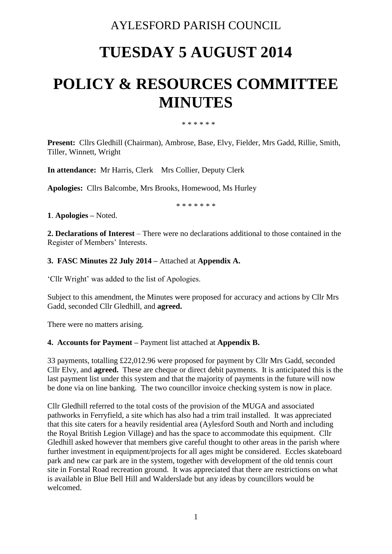# AYLESFORD PARISH COUNCIL

# **TUESDAY 5 AUGUST 2014**

# **POLICY & RESOURCES COMMITTEE MINUTES**

\* \* \* \* \* \*

**Present:** Cllrs Gledhill (Chairman), Ambrose, Base, Elvy, Fielder, Mrs Gadd, Rillie, Smith, Tiller, Winnett, Wright

**In attendance:** Mr Harris, Clerk Mrs Collier, Deputy Clerk

**Apologies:** Cllrs Balcombe, Mrs Brooks, Homewood, Ms Hurley

\* \* \* \* \* \* \*

**1**. **Apologies –** Noted.

**2. Declarations of Interest** – There were no declarations additional to those contained in the Register of Members' Interests.

#### **3. FASC Minutes 22 July 2014 –** Attached at **Appendix A.**

'Cllr Wright' was added to the list of Apologies.

Subject to this amendment, the Minutes were proposed for accuracy and actions by Cllr Mrs Gadd, seconded Cllr Gledhill, and **agreed.**

There were no matters arising.

#### **4. Accounts for Payment –** Payment list attached at **Appendix B.**

33 payments, totalling £22,012.96 were proposed for payment by Cllr Mrs Gadd, seconded Cllr Elvy, and **agreed.** These are cheque or direct debit payments. It is anticipated this is the last payment list under this system and that the majority of payments in the future will now be done via on line banking. The two councillor invoice checking system is now in place.

Cllr Gledhill referred to the total costs of the provision of the MUGA and associated pathworks in Ferryfield, a site which has also had a trim trail installed. It was appreciated that this site caters for a heavily residential area (Aylesford South and North and including the Royal British Legion Village) and has the space to accommodate this equipment. Cllr Gledhill asked however that members give careful thought to other areas in the parish where further investment in equipment/projects for all ages might be considered. Eccles skateboard park and new car park are in the system, together with development of the old tennis court site in Forstal Road recreation ground. It was appreciated that there are restrictions on what is available in Blue Bell Hill and Walderslade but any ideas by councillors would be welcomed.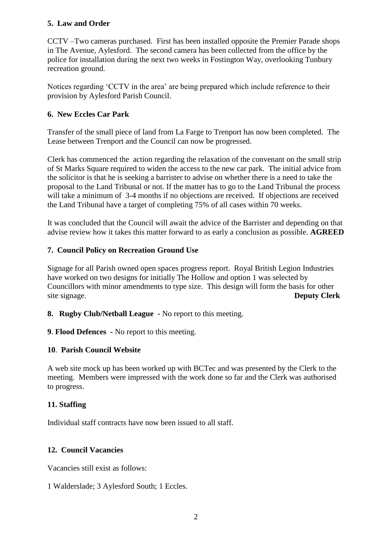# **5. Law and Order**

CCTV –Two cameras purchased. First has been installed opposite the Premier Parade shops in The Avenue, Aylesford. The second camera has been collected from the office by the police for installation during the next two weeks in Fostington Way, overlooking Tunbury recreation ground.

Notices regarding 'CCTV in the area' are being prepared which include reference to their provision by Aylesford Parish Council.

# **6. New Eccles Car Park**

Transfer of the small piece of land from La Farge to Trenport has now been completed. The Lease between Trenport and the Council can now be progressed.

Clerk has commenced the action regarding the relaxation of the convenant on the small strip of St Marks Square required to widen the access to the new car park. The initial advice from the solicitor is that he is seeking a barrister to advise on whether there is a need to take the proposal to the Land Tribunal or not. If the matter has to go to the Land Tribunal the process will take a minimum of 3-4 months if no objections are received. If objections are received the Land Tribunal have a target of completing 75% of all cases within 70 weeks.

It was concluded that the Council will await the advice of the Barrister and depending on that advise review how it takes this matter forward to as early a conclusion as possible. **AGREED**

### **7. Council Policy on Recreation Ground Use**

Signage for all Parish owned open spaces progress report. Royal British Legion Industries have worked on two designs for initially The Hollow and option 1 was selected by Councillors with minor amendments to type size. This design will form the basis for other site signage. **Deputy Clerk**

- **8. Rugby Club/Netball League -** No report to this meeting.
- **9**. **Flood Defences -** No report to this meeting.

#### **10**. **Parish Council Website**

A web site mock up has been worked up with BCTec and was presented by the Clerk to the meeting. Members were impressed with the work done so far and the Clerk was authorised to progress.

#### **11. Staffing**

Individual staff contracts have now been issued to all staff.

# **12. Council Vacancies**

Vacancies still exist as follows:

1 Walderslade; 3 Aylesford South; 1 Eccles.